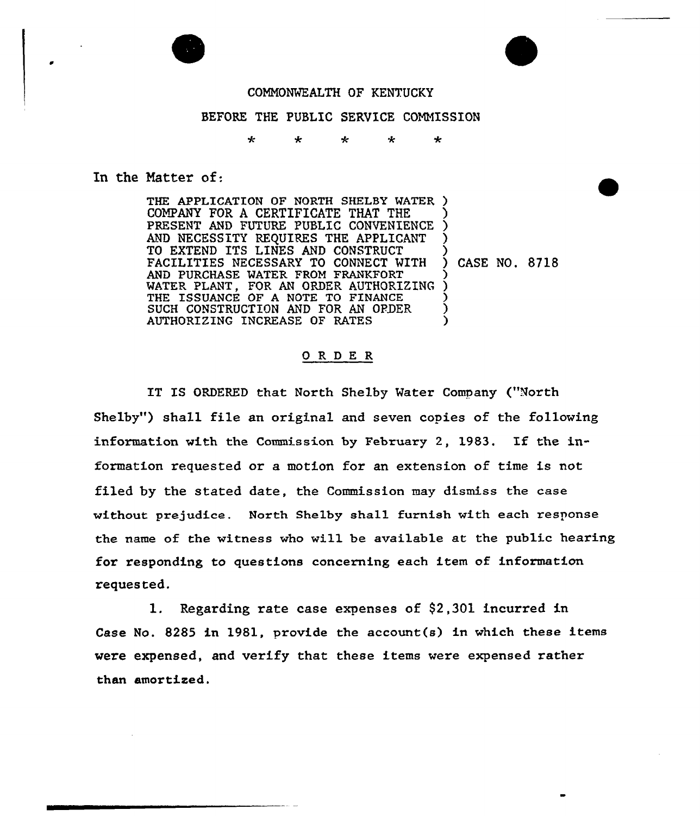

## COMNONWEALTH OF KENTUCKY

## BEFORE THE PUBLIC SERVICE CONNISSION

 $\star$  $\ddot{\phantom{0}}$  $\star$  $\mathbf{d}$  $\star$ 

In the Matter of:

THE APPLICATION OF NORTH SHELBY WATER COMPANY FOR A CERTIFICATE THAT THE PRESENT AND FUTURE PUBLIC CONVENIENCE AND NECESSITY REQUIRES THE APPLICANT TO EXTEND ITS LINES AND CONSTRUCT FACILITIES NECESSARY TO CONNECT WITH AND PURCHASE WATER FROM FRANKFORT WATER PLANT, FOR AN ORDER AUTHORIZING THE ISSUANCE OF A NOTE TO FINANCE SUCH CONSTRUCTION AND FOR AN ORDER AUTHORIZING INCREASE OF RATES ) (<br>) ) ) ) CASE NO, 8718 ز<br>> ) ) ) )

## 0RDE <sup>R</sup>

IT IS ORDERED that North Shelby Water Company ("North Shelby") shall file an original and seven copies of the following information with the Commission by February 2, 1983. If the infoxmation requested or a motion for an extension of time is not filed by the stated date, the Commission may dismiss the case without prejudice. North Shelby shall furnish with each response the name of the witness who will be available at the public hearing for responding to questions concerning each item of information requested.

1. Regarding rate case expenses of \$2,301 incurred in Case No. 8285 in 1981, provide the account  $(s)$  in which these items were expensed, and verify that these items were expensed rather than amortized.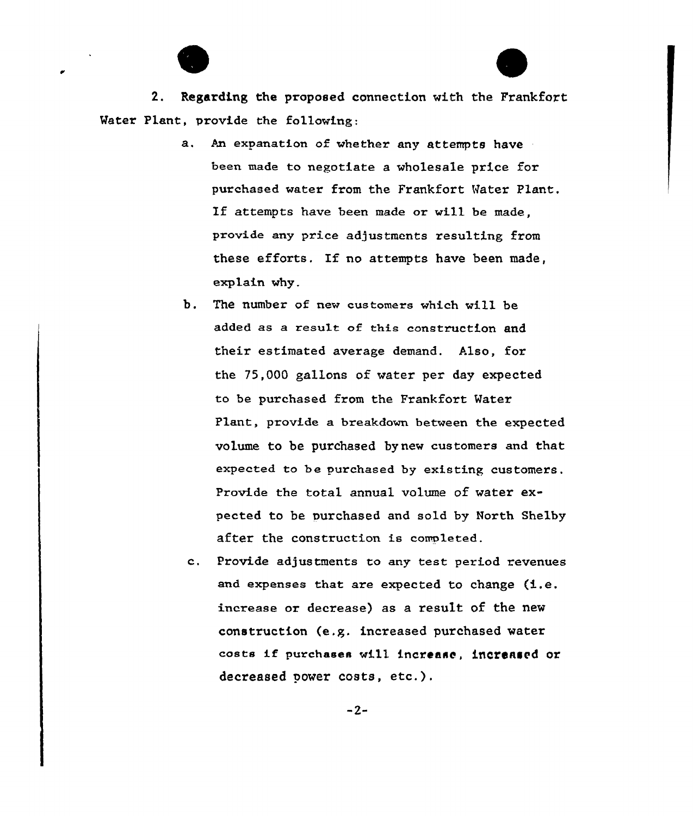

2. Regarding the proposed connection with the Frankfort Mater Plant, provide the following:

- a. An expanation of whether any attempts have been made to negotiate a wholesale price for purchased water from the Frankfort Water Plant. If attempts have been made or will be made, provide any price adjustments resulting from these efforts. If no attempts have been made, explain why.
- b. The number of new customers which will be added as a result of this construction and their estimated average demand. Also, for the 75,000 gallons of water per day expected to be purchased from the Frankfort Water Plant, provide a breakdown between the expected volume to be purchased bynew customers and that expected to be purchased by existing customers. Provide the total annual volume of water expected to be purchased and sold by North Shelby after the construction is completed.
- Provide adjustments to any test period revenues  $c_{\rm t}$ and expenses that are expected to change  $(i.e.$ increase or decrease) as a result of the new construction (e.g. increased purchased water costs if purchases will increase, increased or decreased power costs, etc.).

 $-2-$